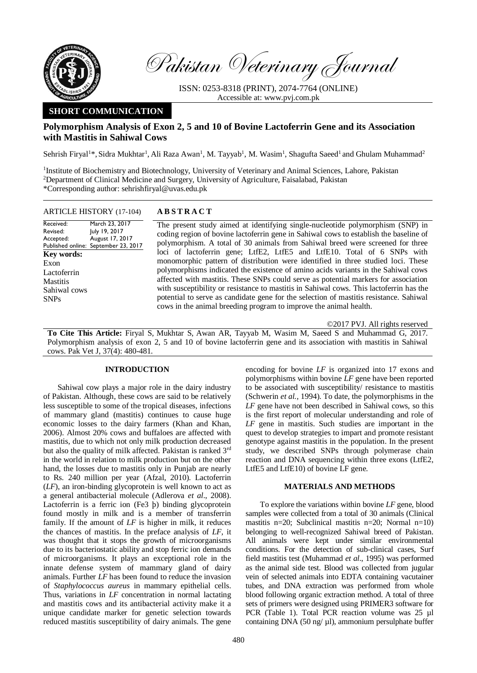

Pakistan Veterinary Journal

ISSN: 0253-8318 (PRINT), 2074-7764 (ONLINE) Accessible at: [www.pvj.com.pk](http://www.pvj.com.pk/)

# **SHORT COMMUNICATION**

## **Polymorphism Analysis of Exon 2, 5 and 10 of Bovine Lactoferrin Gene and its Association with Mastitis in Sahiwal Cows**

Sehrish Firyal<sup>1\*</sup>, Sidra Mukhtar<sup>1</sup>, Ali Raza Awan<sup>1</sup>, M. Tayyab<sup>1</sup>, M. Wasim<sup>1</sup>, Shagufta Saeed<sup>1</sup> and Ghulam Muhammad<sup>2</sup>

<sup>1</sup>Institute of Biochemistry and Biotechnology, University of Veterinary and Animal Sciences, Lahore, Pakistan <sup>2</sup>Department of Clinical Medicine and Surgery, University of Agriculture, Faisalabad, Pakistan \*Corresponding author: sehrishfiryal@uvas.edu.pk

|                   | ARTICLE INSTORT (17-104)             |  |
|-------------------|--------------------------------------|--|
| Received:         | March 23, 2017                       |  |
| Revised:          | July 19, 2017                        |  |
| Accepted:         | August 17, 2017                      |  |
|                   | Published online: September 23, 2017 |  |
| <b>Key words:</b> |                                      |  |
| Exon              |                                      |  |
| Lactoferrin       |                                      |  |
| <b>Mastitis</b>   |                                      |  |
| Sahiwal cows      |                                      |  |
| <b>SNPs</b>       |                                      |  |
|                   |                                      |  |

### ARTICLE HISTORY (17-104) **A B S T R A C T**

The present study aimed at identifying single-nucleotide polymorphism (SNP) in coding region of bovine lactoferrin gene in Sahiwal cows to establish the baseline of polymorphism. A total of 30 animals from Sahiwal breed were screened for three loci of lactoferrin gene; LtfE2, LtfE5 and LtfE10. Total of 6 SNPs with monomorphic pattern of distribution were identified in three studied loci. These polymorphisms indicated the existence of amino acids variants in the Sahiwal cows affected with mastitis. These SNPs could serve as potential markers for association with susceptibility or resistance to mastitis in Sahiwal cows. This lactoferrin has the potential to serve as candidate gene for the selection of mastitis resistance. Sahiwal cows in the animal breeding program to improve the animal health.

©2017 PVJ. All rights reserved

**To Cite This Article:** Firyal S, Mukhtar S, Awan AR, Tayyab M, Wasim M, Saeed S and Muhammad G, 2017. Polymorphism analysis of exon 2, 5 and 10 of bovine lactoferrin gene and its association with mastitis in Sahiwal cows. Pak Vet J, 37(4): 480-481.

### **INTRODUCTION**

Sahiwal cow plays a major role in the dairy industry of Pakistan. Although, these cows are said to be relatively less susceptible to some of the tropical diseases, infections of mammary gland (mastitis) continues to cause huge economic losses to the dairy farmers (Khan and Khan, 2006). Almost 20% cows and buffaloes are affected with mastitis, due to which not only milk production decreased but also the quality of milk affected. Pakistan is ranked 3rd in the world in relation to milk production but on the other hand, the losses due to mastitis only in Punjab are nearly to Rs. 240 million per year (Afzal, 2010). Lactoferrin (*LF*), an iron-binding glycoprotein is well known to act as a general antibacterial molecule (Adlerova *et al*., 2008). Lactoferrin is a ferric ion (Fe3 þ) binding glycoprotein found mostly in milk and is a member of transferrin family. If the amount of *LF* is higher in milk, it reduces the chances of mastitis. In the preface analysis of *LF*, it was thought that it stops the growth of microorganisms due to its bacteriostatic ability and stop ferric ion demands of microorganisms. It plays an exceptional role in the innate defense system of mammary gland of dairy animals. Further *LF* has been found to reduce the invasion of *Staphylococcus aureus* in mammary epithelial cells. Thus, variations in *LF* concentration in normal lactating and mastitis cows and its antibacterial activity make it a unique candidate marker for genetic selection towards reduced mastitis susceptibility of dairy animals. The gene encoding for bovine *LF* is organized into 17 exons and polymorphisms within bovine *LF* gene have been reported to be associated with susceptibility/ resistance to mastitis (Schwerin *et al.,* 1994). To date, the polymorphisms in the *LF* gene have not been described in Sahiwal cows, so this is the first report of molecular understanding and role of *LF* gene in mastitis. Such studies are important in the quest to develop strategies to impart and promote resistant genotype against mastitis in the population. In the present study, we described SNPs through polymerase chain reaction and DNA sequencing within three exons (LtfE2, LtfE5 and LtfE10) of bovine LF gene.

### **MATERIALS AND METHODS**

To explore the variations within bovine *LF* gene, blood samples were collected from a total of 30 animals (Clinical mastitis n=20; Subclinical mastitis n=20; Normal n=10) belonging to well-recognized Sahiwal breed of Pakistan. All animals were kept under similar environmental conditions. For the detection of sub-clinical cases, Surf field mastitis test (Muhammad *et al*., 1995) was performed as the animal side test. Blood was collected from jugular vein of selected animals into EDTA containing vacutainer tubes, and DNA extraction was performed from whole blood following organic extraction method. A total of three sets of primers were designed using PRIMER3 software for PCR (Table 1). Total PCR reaction volume was 25 µl containing DNA (50 ng/ $\mu$ l), ammonium persulphate buffer